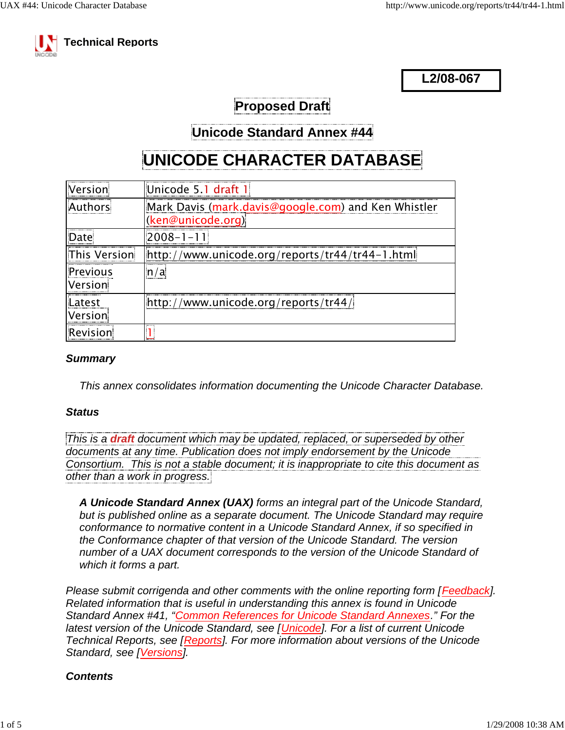

**L2/08-067**

**Proposed Draft**

**Unicode Standard Annex #44**

# **UNICODE CHARACTER DATABASE**

| ---------------------------<br>l Version       | "Unicode 5.1 draft 1                                                     |
|------------------------------------------------|--------------------------------------------------------------------------|
|                                                | Mark Davis (mark.davis@google.com) and Ken Whistler<br>(ken@unicode.org) |
|                                                |                                                                          |
| lThis Version<br>                              | www.unicode.org/reports/t <u>r44/tr44-1.html</u>                         |
| -----------------------<br>Previous<br>Version | a /                                                                      |
| Latest                                         | http://www.unicode.org/reports/tr44/                                     |
| Version                                        |                                                                          |
| Revision<br>------------------------------     |                                                                          |

#### *Summary*

*This annex consolidates information documenting the Unicode Character Database.*

#### *Status*

*This is a draft document which may be updated, replaced, or superseded by other documents at any time. Publication does not imply endorsement by the Unicode Consortium. This is not a stable document; it is inappropriate to cite this document as other than a work in progress.*

*A Unicode Standard Annex (UAX) forms an integral part of the Unicode Standard, but is published online as a separate document. The Unicode Standard may require conformance to normative content in a Unicode Standard Annex, if so specified in the Conformance chapter of that version of the Unicode Standard. The version number of a UAX document corresponds to the version of the Unicode Standard of which it forms a part.*

*Please submit corrigenda and other comments with the online reporting form [Feedback]. Related information that is useful in understanding this annex is found in Unicode Standard Annex #41, "Common References for Unicode Standard Annexes." For the latest version of the Unicode Standard, see [Unicode]. For a list of current Unicode Technical Reports, see [Reports]. For more information about versions of the Unicode Standard, see [Versions].*

### *Contents*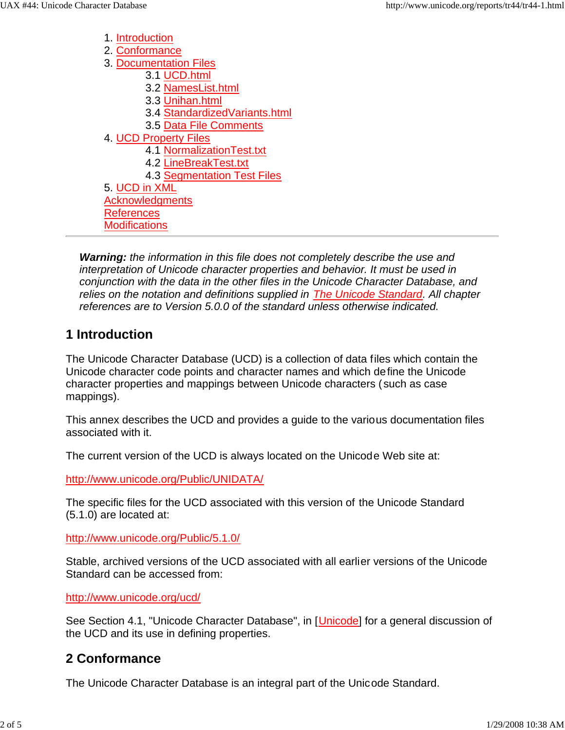1. Introduction 2. Conformance 3. Documentation Files 3.1 UCD.html 3.2 NamesList.html 3.3 Unihan.html 3.4 StandardizedVariants.html 3.5 Data File Comments 4. UCD Property Files 4.1 NormalizationTest.txt 4.2 LineBreakTest.txt 4.3 Segmentation Test Files 5. UCD in XML **Acknowledgments** References **Modifications** 

*Warning: the information in this file does not completely describe the use and interpretation of Unicode character properties and behavior. It must be used in conjunction with the data in the other files in the Unicode Character Database, and relies on the notation and definitions supplied in The Unicode Standard. All chapter references are to Version 5.0.0 of the standard unless otherwise indicated.*

### **1 Introduction**

The Unicode Character Database (UCD) is a collection of data files which contain the Unicode character code points and character names and which define the Unicode character properties and mappings between Unicode characters (such as case mappings).

This annex describes the UCD and provides a guide to the various documentation files associated with it.

The current version of the UCD is always located on the Unicode Web site at:

http://www.unicode.org/Public/UNIDATA/

The specific files for the UCD associated with this version of the Unicode Standard (5.1.0) are located at:

http://www.unicode.org/Public/5.1.0/

Stable, archived versions of the UCD associated with all earlier versions of the Unicode Standard can be accessed from:

http://www.unicode.org/ucd/

See Section 4.1, "Unicode Character Database", in [Unicode] for a general discussion of the UCD and its use in defining properties.

### **2 Conformance**

The Unicode Character Database is an integral part of the Unicode Standard.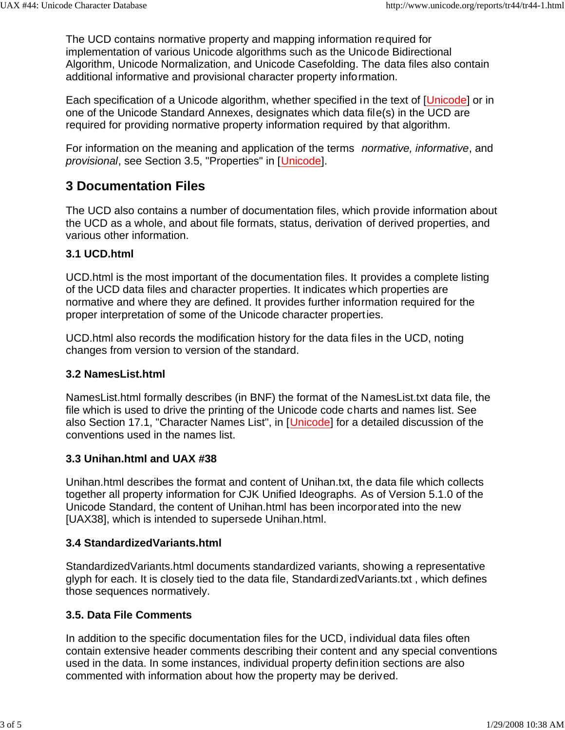The UCD contains normative property and mapping information required for implementation of various Unicode algorithms such as the Unicode Bidirectional Algorithm, Unicode Normalization, and Unicode Casefolding. The data files also contain additional informative and provisional character property information.

Each specification of a Unicode algorithm, whether specified in the text of [Unicode] or in one of the Unicode Standard Annexes, designates which data file(s) in the UCD are required for providing normative property information required by that algorithm.

For information on the meaning and application of the terms *normative, informative*, and *provisional*, see Section 3.5, "Properties" in [Unicode].

## **3 Documentation Files**

The UCD also contains a number of documentation files, which provide information about the UCD as a whole, and about file formats, status, derivation of derived properties, and various other information.

#### **3.1 UCD.html**

UCD.html is the most important of the documentation files. It provides a complete listing of the UCD data files and character properties. It indicates which properties are normative and where they are defined. It provides further information required for the proper interpretation of some of the Unicode character properties.

UCD.html also records the modification history for the data files in the UCD, noting changes from version to version of the standard.

#### **3.2 NamesList.html**

NamesList.html formally describes (in BNF) the format of the NamesList.txt data file, the file which is used to drive the printing of the Unicode code charts and names list. See also Section 17.1, "Character Names List", in [Unicode] for a detailed discussion of the conventions used in the names list.

#### **3.3 Unihan.html and UAX #38**

Unihan.html describes the format and content of Unihan.txt, the data file which collects together all property information for CJK Unified Ideographs. As of Version 5.1.0 of the Unicode Standard, the content of Unihan.html has been incorporated into the new [UAX38], which is intended to supersede Unihan.html.

#### **3.4 StandardizedVariants.html**

StandardizedVariants.html documents standardized variants, showing a representative glyph for each. It is closely tied to the data file, StandardizedVariants.txt , which defines those sequences normatively.

#### **3.5. Data File Comments**

In addition to the specific documentation files for the UCD, individual data files often contain extensive header comments describing their content and any special conventions used in the data. In some instances, individual property definition sections are also commented with information about how the property may be derived.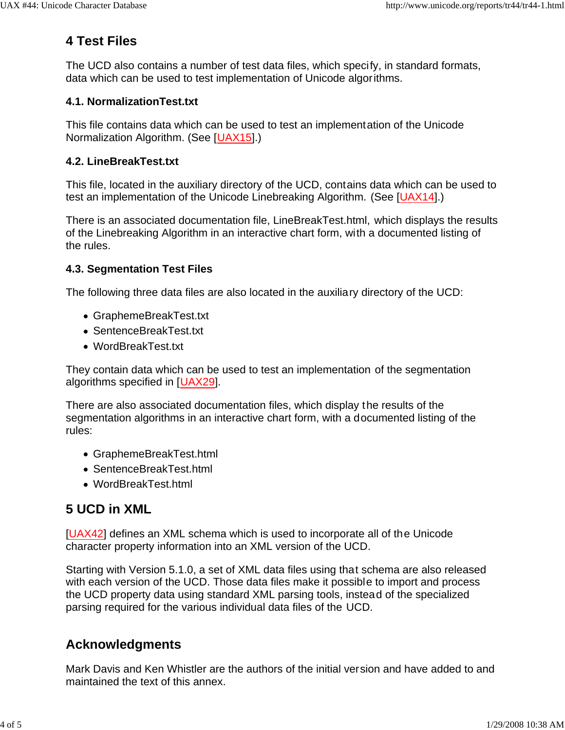# **4 Test Files**

The UCD also contains a number of test data files, which specify, in standard formats, data which can be used to test implementation of Unicode algorithms.

#### **4.1. NormalizationTest.txt**

This file contains data which can be used to test an implementation of the Unicode Normalization Algorithm. (See [UAX15].)

### **4.2. LineBreakTest.txt**

This file, located in the auxiliary directory of the UCD, contains data which can be used to test an implementation of the Unicode Linebreaking Algorithm. (See [UAX14].)

There is an associated documentation file, LineBreakTest.html, which displays the results of the Linebreaking Algorithm in an interactive chart form, with a documented listing of the rules.

#### **4.3. Segmentation Test Files**

The following three data files are also located in the auxiliary directory of the UCD:

- GraphemeBreakTest.txt
- SentenceBreakTest.txt
- WordBreakTest.txt

They contain data which can be used to test an implementation of the segmentation algorithms specified in [UAX29].

There are also associated documentation files, which display the results of the segmentation algorithms in an interactive chart form, with a documented listing of the rules:

- GraphemeBreakTest.html
- SentenceBreakTest.html
- WordBreakTest.html

# **5 UCD in XML**

[UAX42] defines an XML schema which is used to incorporate all of the Unicode character property information into an XML version of the UCD.

Starting with Version 5.1.0, a set of XML data files using that schema are also released with each version of the UCD. Those data files make it possible to import and process the UCD property data using standard XML parsing tools, instead of the specialized parsing required for the various individual data files of the UCD.

## **Acknowledgments**

Mark Davis and Ken Whistler are the authors of the initial version and have added to and maintained the text of this annex.